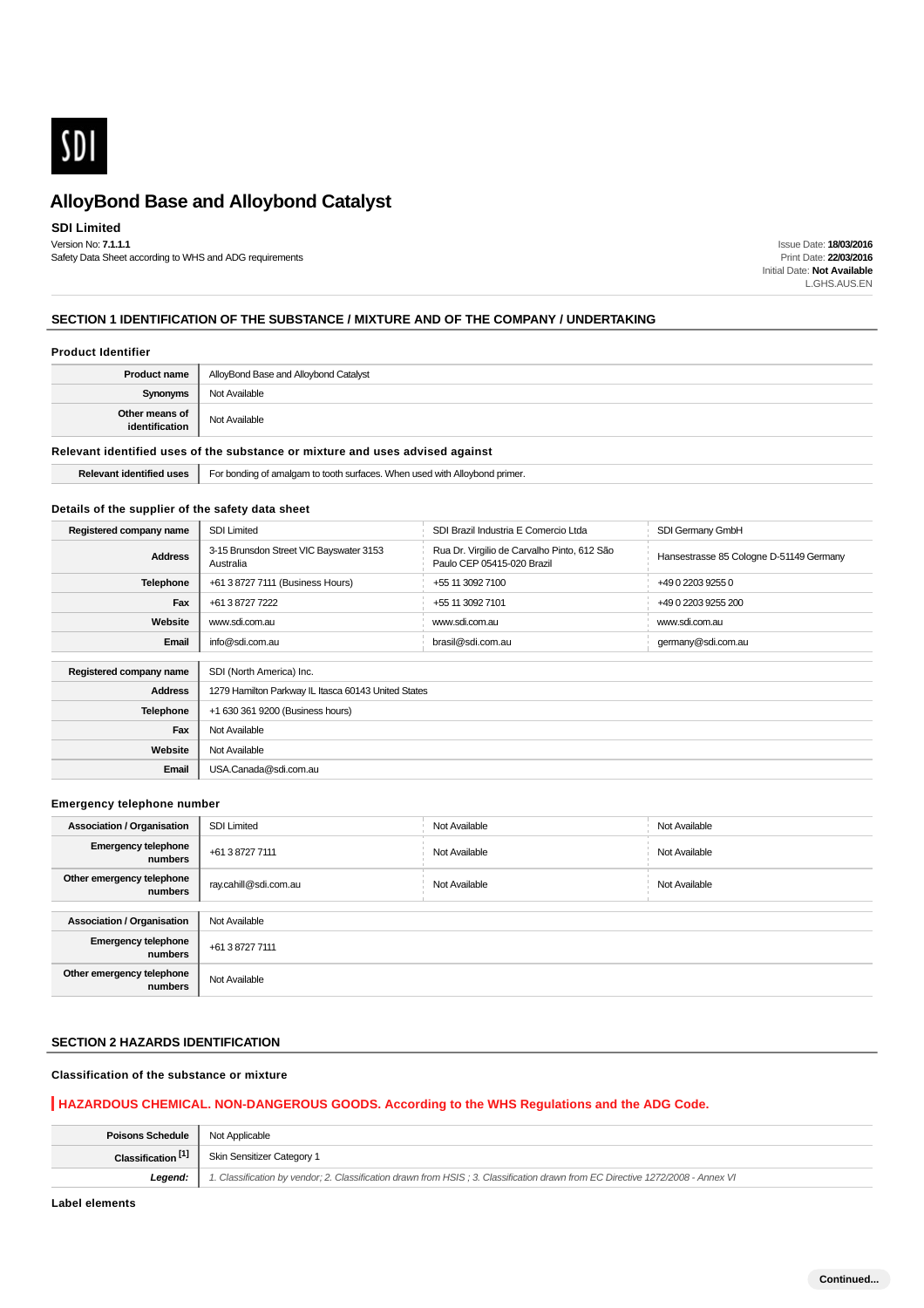

### **SDI Limited**

Version No: **7.1.1.1** Safety Data Sheet according to WHS and ADG requirements

Issue Date: **18/03/2016** Print Date: **22/03/2016** Initial Date: **Not Available** L.GHS.AUS.EN

### **SECTION 1 IDENTIFICATION OF THE SUBSTANCE / MIXTURE AND OF THE COMPANY / UNDERTAKING**

#### **Product Identifier**

| Not Available<br><b>Synonyms</b>                  |  |
|---------------------------------------------------|--|
| Other means of<br>identification<br>Not Available |  |

### **Relevant identified uses of the substance or mixture and uses advised against**

|  | <b>Relevant identified uses</b> | For bonding of amalgam to tooth surfaces. When used with Alloybond primer. |
|--|---------------------------------|----------------------------------------------------------------------------|
|--|---------------------------------|----------------------------------------------------------------------------|

#### **Details of the supplier of the safety data sheet**

| Registered company name | <b>SDI Limited</b>                                   | SDI Brazil Industria E Comercio Ltda                                      | SDI Germany GmbH                        |
|-------------------------|------------------------------------------------------|---------------------------------------------------------------------------|-----------------------------------------|
| <b>Address</b>          | 3-15 Brunsdon Street VIC Bayswater 3153<br>Australia | Rua Dr. Virgilio de Carvalho Pinto, 612 São<br>Paulo CEP 05415-020 Brazil | Hansestrasse 85 Cologne D-51149 Germany |
| <b>Telephone</b>        | +61 3 8727 7111 (Business Hours)                     | +55 11 3092 7100                                                          | +49 0 2203 9255 0                       |
| Fax                     | +61 3 8727 7222                                      | +55 11 3092 7101                                                          | +49 0 2203 9255 200                     |
| Website                 | www.sdi.com.au                                       | www.sdi.com.au                                                            | www.sdi.com.au                          |
| Email                   | info@sdi.com.au                                      | brasil@sdi.com.au                                                         | germany@sdi.com.au                      |
|                         |                                                      |                                                                           |                                         |
| Registered company name | SDI (North America) Inc.                             |                                                                           |                                         |
| <b>Address</b>          | 1279 Hamilton Parkway IL Itasca 60143 United States  |                                                                           |                                         |
| <b>Telephone</b>        | +1 630 361 9200 (Business hours)                     |                                                                           |                                         |
| Fax                     | Not Available                                        |                                                                           |                                         |
| Website                 | Not Available                                        |                                                                           |                                         |
| Email                   | USA.Canada@sdi.com.au                                |                                                                           |                                         |

#### **Emergency telephone number**

| <b>Association / Organisation</b>     | <b>SDI Limited</b>    | Not Available | Not Available |
|---------------------------------------|-----------------------|---------------|---------------|
| <b>Emergency telephone</b><br>numbers | +61 3 8727 7111       | Not Available | Not Available |
| Other emergency telephone<br>numbers  | ray.cahill@sdi.com.au | Not Available | Not Available |
|                                       |                       |               |               |
| <b>Association / Organisation</b>     | Not Available         |               |               |
| <b>Emergency telephone</b><br>numbers | +61 3 8727 7111       |               |               |
| Other emergency telephone<br>numbers  | Not Available         |               |               |

#### **SECTION 2 HAZARDS IDENTIFICATION**

### **Classification of the substance or mixture**

### **HAZARDOUS CHEMICAL. NON-DANGEROUS GOODS. According to the WHS Regulations and the ADG Code.**

| <b>Poisons Schedule</b>   Not Applicable |                                                                                                                                |
|------------------------------------------|--------------------------------------------------------------------------------------------------------------------------------|
| Classification <sup>[1]</sup>            | Skin Sensitizer Category 1                                                                                                     |
| Leaend:                                  | 1. Classification by vendor; 2. Classification drawn from HSIS; 3. Classification drawn from EC Directive 1272/2008 - Annex VI |

**Label elements**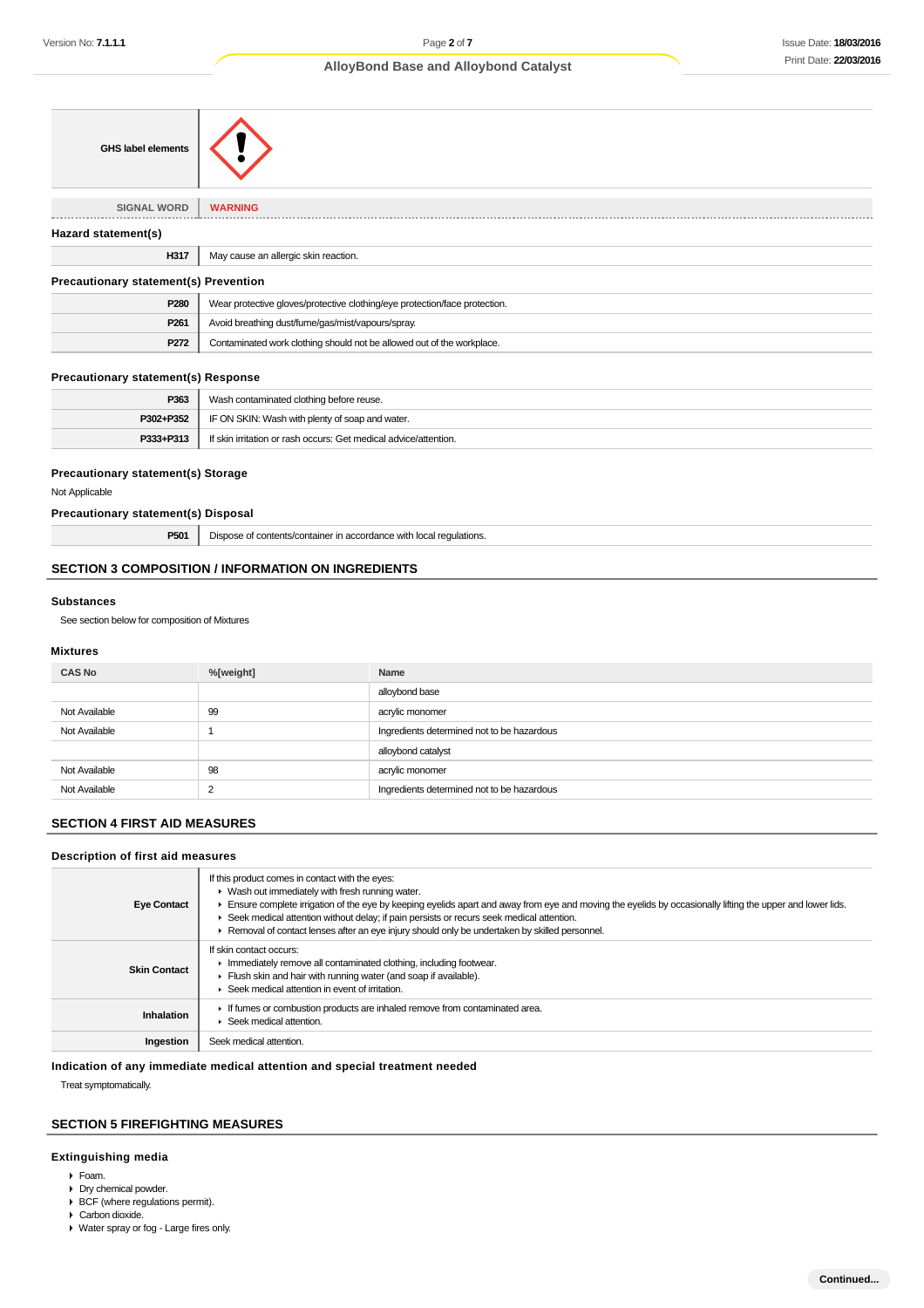| <b>GHS label elements</b>                    |                                                                            |
|----------------------------------------------|----------------------------------------------------------------------------|
| <b>SIGNAL WORD</b>                           | <b>WARNING</b>                                                             |
| Hazard statement(s)                          |                                                                            |
| H317                                         | May cause an allergic skin reaction.                                       |
| <b>Precautionary statement(s) Prevention</b> |                                                                            |
| P280                                         | Wear protective gloves/protective clothing/eye protection/face protection. |
| P261                                         | Avoid breathing dust/fume/gas/mist/vapours/spray.                          |
| P272                                         | Contaminated work clothing should not be allowed out of the workplace.     |

#### **Precautionary statement(s) Response**

| P363      | Wash contaminated clothing before reuse.                         |
|-----------|------------------------------------------------------------------|
| P302+P352 | IF ON SKIN: Wash with plenty of soap and water.                  |
| P333+P313 | If skin irritation or rash occurs: Get medical advice/attention. |

#### **Precautionary statement(s) Storage**

Not Applicable

#### **Precautionary statement(s) Disposal**

**P501** Dispose of contents/container in accordance with local regulations.

### **SECTION 3 COMPOSITION / INFORMATION ON INGREDIENTS**

### **Substances**

See section below for composition of Mixtures

#### **Mixtures**

| <b>CAS No</b> | %[weight] | Name                                       |
|---------------|-----------|--------------------------------------------|
|               |           | alloybond base                             |
| Not Available | 99        | acrylic monomer                            |
| Not Available |           | Ingredients determined not to be hazardous |
|               |           | alloybond catalyst                         |
| Not Available | 98        | acrylic monomer                            |
| Not Available | 2         | Ingredients determined not to be hazardous |

### **SECTION 4 FIRST AID MEASURES**

### **Description of first aid measures**

| <b>Eye Contact</b>  | If this product comes in contact with the eyes:<br>• Wash out immediately with fresh running water.<br>Ensure complete irrigation of the eye by keeping eyelids apart and away from eye and moving the eyelids by occasionally lifting the upper and lower lids.<br>Seek medical attention without delay; if pain persists or recurs seek medical attention.<br>Removal of contact lenses after an eye injury should only be undertaken by skilled personnel. |
|---------------------|---------------------------------------------------------------------------------------------------------------------------------------------------------------------------------------------------------------------------------------------------------------------------------------------------------------------------------------------------------------------------------------------------------------------------------------------------------------|
| <b>Skin Contact</b> | If skin contact occurs:<br>Immediately remove all contaminated clothing, including footwear.<br>Flush skin and hair with running water (and soap if available).<br>Seek medical attention in event of irritation.                                                                                                                                                                                                                                             |
| Inhalation          | If fumes or combustion products are inhaled remove from contaminated area.<br>Seek medical attention.                                                                                                                                                                                                                                                                                                                                                         |
| Ingestion           | Seek medical attention.                                                                                                                                                                                                                                                                                                                                                                                                                                       |

**Indication of any immediate medical attention and special treatment needed**

Treat symptomatically.

#### **SECTION 5 FIREFIGHTING MEASURES**

## **Extinguishing media**

- Foam.
- **Dry chemical powder.**
- BCF (where regulations permit).
- Carbon dioxide.
- Water spray or fog Large fires only.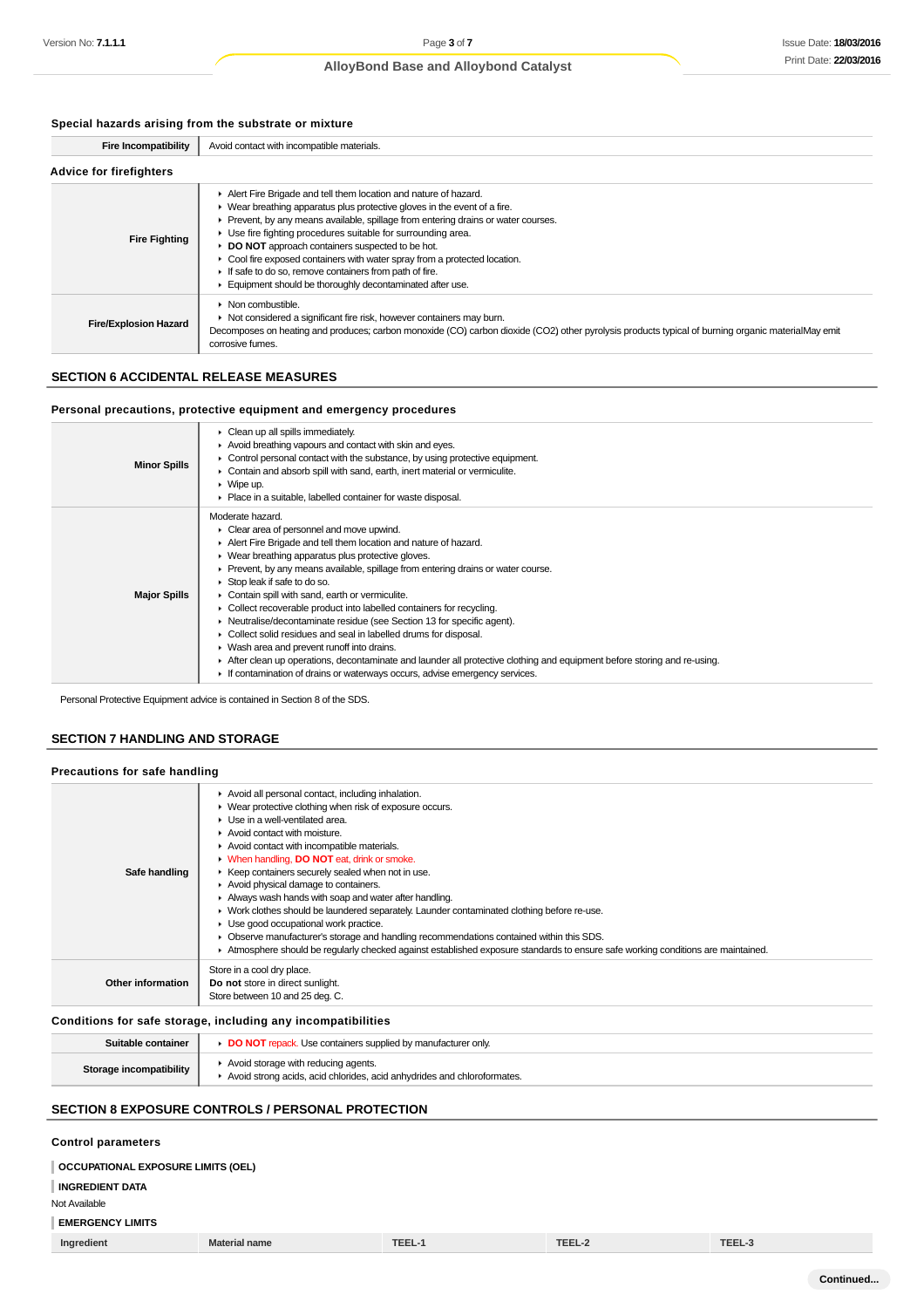### **Special hazards arising from the substrate or mixture**

| <b>Fire Incompatibility</b>    | Avoid contact with incompatible materials.                                                                                                                                                                                                                                                                                                                                                                                                                                                                                                                                      |  |  |
|--------------------------------|---------------------------------------------------------------------------------------------------------------------------------------------------------------------------------------------------------------------------------------------------------------------------------------------------------------------------------------------------------------------------------------------------------------------------------------------------------------------------------------------------------------------------------------------------------------------------------|--|--|
| <b>Advice for firefighters</b> |                                                                                                                                                                                                                                                                                                                                                                                                                                                                                                                                                                                 |  |  |
| <b>Fire Fighting</b>           | Alert Fire Brigade and tell them location and nature of hazard.<br>$\blacktriangleright$ Wear breathing apparatus plus protective gloves in the event of a fire.<br>Prevent, by any means available, spillage from entering drains or water courses.<br>Use fire fighting procedures suitable for surrounding area.<br><b>DO NOT</b> approach containers suspected to be hot.<br>Cool fire exposed containers with water spray from a protected location.<br>If safe to do so, remove containers from path of fire.<br>Equipment should be thoroughly decontaminated after use. |  |  |
| <b>Fire/Explosion Hazard</b>   | $\triangleright$ Non combustible.<br>• Not considered a significant fire risk, however containers may burn.<br>Decomposes on heating and produces; carbon monoxide (CO) carbon dioxide (CO2) other pyrolysis products typical of burning organic materialMay emit<br>corrosive fumes.                                                                                                                                                                                                                                                                                           |  |  |

### **SECTION 6 ACCIDENTAL RELEASE MEASURES**

#### **Personal precautions, protective equipment and emergency procedures**

| <b>Minor Spills</b> | Clean up all spills immediately.<br>Avoid breathing vapours and contact with skin and eyes.<br>$\blacktriangleright$ Control personal contact with the substance, by using protective equipment.<br>Contain and absorb spill with sand, earth, inert material or vermiculite.<br>$\triangleright$ Wipe up.<br>• Place in a suitable, labelled container for waste disposal.                                                                                                                                                                                                                                                                                                                                                                                                                                                                  |
|---------------------|----------------------------------------------------------------------------------------------------------------------------------------------------------------------------------------------------------------------------------------------------------------------------------------------------------------------------------------------------------------------------------------------------------------------------------------------------------------------------------------------------------------------------------------------------------------------------------------------------------------------------------------------------------------------------------------------------------------------------------------------------------------------------------------------------------------------------------------------|
| <b>Major Spills</b> | Moderate hazard.<br>• Clear area of personnel and move upwind.<br>Alert Fire Brigade and tell them location and nature of hazard.<br>• Wear breathing apparatus plus protective gloves.<br>► Prevent, by any means available, spillage from entering drains or water course.<br>Stop leak if safe to do so.<br>• Contain spill with sand, earth or vermiculite.<br>Collect recoverable product into labelled containers for recycling.<br>Neutralise/decontaminate residue (see Section 13 for specific agent).<br>• Collect solid residues and seal in labelled drums for disposal.<br>• Wash area and prevent runoff into drains.<br>After clean up operations, decontaminate and launder all protective clothing and equipment before storing and re-using.<br>If contamination of drains or waterways occurs, advise emergency services. |

Personal Protective Equipment advice is contained in Section 8 of the SDS.

### **SECTION 7 HANDLING AND STORAGE**

### **Precautions for safe handling**

|                   | Avoid all personal contact, including inhalation.                                                                               |
|-------------------|---------------------------------------------------------------------------------------------------------------------------------|
|                   | • Wear protective clothing when risk of exposure occurs.                                                                        |
|                   | Use in a well-ventilated area.                                                                                                  |
|                   | $\blacktriangleright$ Avoid contact with moisture.                                                                              |
|                   | Avoid contact with incompatible materials.                                                                                      |
|                   | • When handling, DO NOT eat, drink or smoke.                                                                                    |
| Safe handling     | ▶ Keep containers securely sealed when not in use.                                                                              |
|                   | Avoid physical damage to containers.                                                                                            |
|                   | Always wash hands with soap and water after handling.                                                                           |
|                   | • Work clothes should be laundered separately. Launder contaminated clothing before re-use.                                     |
|                   | Use good occupational work practice.                                                                                            |
|                   | Observe manufacturer's storage and handling recommendations contained within this SDS.                                          |
|                   | Atmosphere should be regularly checked against established exposure standards to ensure safe working conditions are maintained. |
|                   | Store in a cool dry place.                                                                                                      |
| Other information | Do not store in direct sunlight.                                                                                                |
|                   | Store between 10 and 25 deg. C.                                                                                                 |
|                   |                                                                                                                                 |

### **Conditions for safe storage, including any incompatibilities**

| Suitable container      | <b>DO NOT</b> repack. Use containers supplied by manufacturer only                                             |
|-------------------------|----------------------------------------------------------------------------------------------------------------|
| Storage incompatibility | Avoid storage with reducing agents.<br>Avoid strong acids, acid chlorides, acid anhydrides and chloroformates. |

### **SECTION 8 EXPOSURE CONTROLS / PERSONAL PROTECTION**

### **Control parameters**

#### **OCCUPATIONAL EXPOSURE LIMITS (OEL)**

**INGREDIENT DATA**

#### Not Available

### **EMERGENCY LIMITS**

| Ingredient | <b>Material name</b> | TCC   | $- - - -$ |  |
|------------|----------------------|-------|-----------|--|
|            |                      | 1666° |           |  |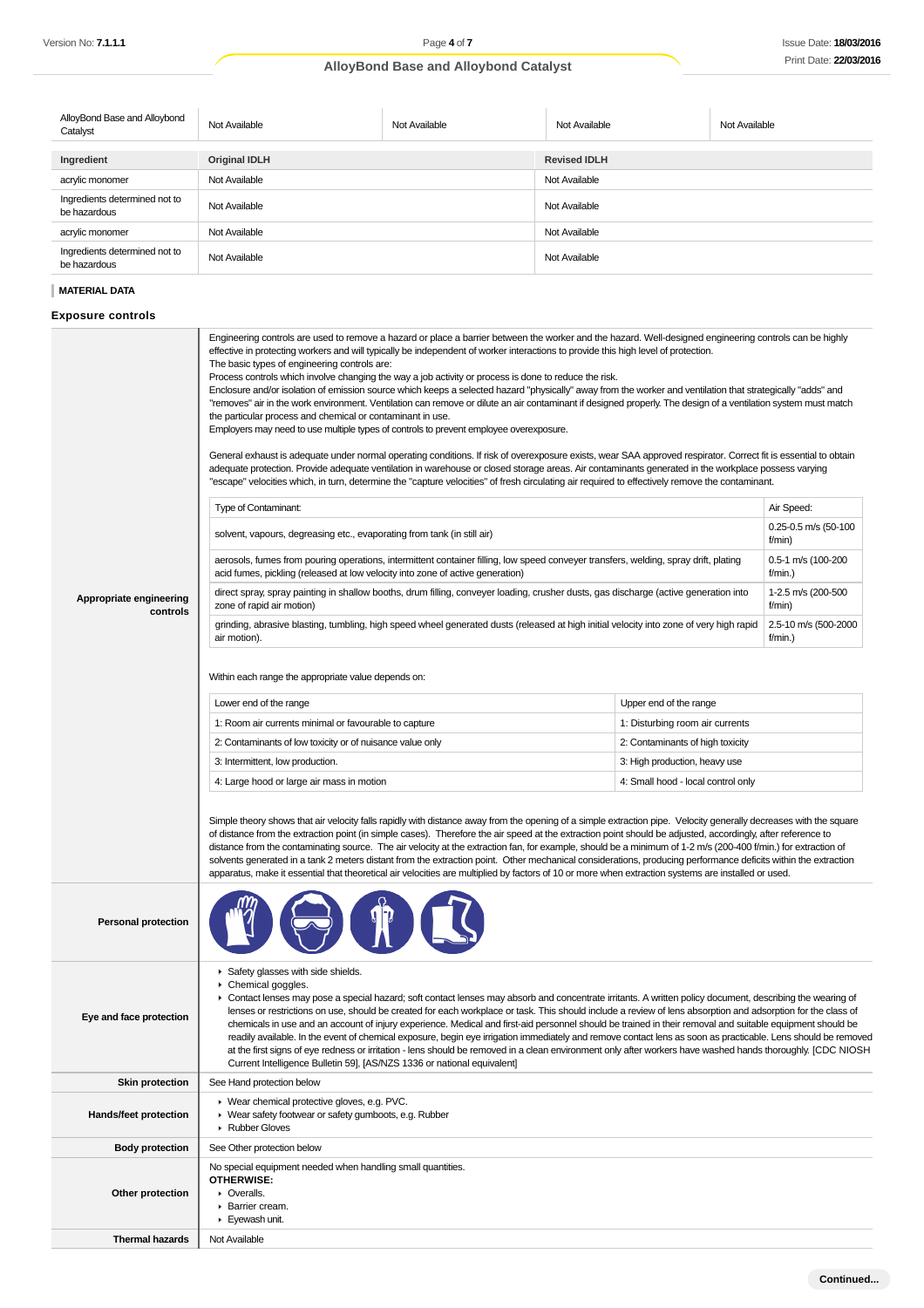| AlloyBond Base and Alloybond<br>Catalyst      | Not Available        | Not Available | Not Available       | Not Available |
|-----------------------------------------------|----------------------|---------------|---------------------|---------------|
|                                               |                      |               |                     |               |
| Ingredient                                    | <b>Original IDLH</b> |               | <b>Revised IDLH</b> |               |
| acrylic monomer                               | Not Available        |               | Not Available       |               |
| Ingredients determined not to<br>be hazardous | Not Available        |               | Not Available       |               |
| acrylic monomer                               | Not Available        |               | Not Available       |               |
| Ingredients determined not to<br>be hazardous | Not Available        |               | Not Available       |               |

### **MATERIAL DATA**

**Exposure controls**

|                                     | Engineering controls are used to remove a hazard or place a barrier between the worker and the hazard. Well-designed engineering controls can be highly<br>effective in protecting workers and will typically be independent of worker interactions to provide this high level of protection.<br>The basic types of engineering controls are:<br>Process controls which involve changing the way a job activity or process is done to reduce the risk.<br>Enclosure and/or isolation of emission source which keeps a selected hazard "physically" away from the worker and ventilation that strategically "adds" and<br>"removes" air in the work environment. Ventilation can remove or dilute an air contaminant if designed properly. The design of a ventilation system must match<br>the particular process and chemical or contaminant in use.<br>Employers may need to use multiple types of controls to prevent employee overexposure.<br>General exhaust is adequate under normal operating conditions. If risk of overexposure exists, wear SAA approved respirator. Correct fit is essential to obtain<br>adequate protection. Provide adequate ventilation in warehouse or closed storage areas. Air contaminants generated in the workplace possess varying<br>"escape" velocities which, in turn, determine the "capture velocities" of fresh circulating air required to effectively remove the contaminant. |                                    |                                 |  |
|-------------------------------------|------------------------------------------------------------------------------------------------------------------------------------------------------------------------------------------------------------------------------------------------------------------------------------------------------------------------------------------------------------------------------------------------------------------------------------------------------------------------------------------------------------------------------------------------------------------------------------------------------------------------------------------------------------------------------------------------------------------------------------------------------------------------------------------------------------------------------------------------------------------------------------------------------------------------------------------------------------------------------------------------------------------------------------------------------------------------------------------------------------------------------------------------------------------------------------------------------------------------------------------------------------------------------------------------------------------------------------------------------------------------------------------------------------------------------|------------------------------------|---------------------------------|--|
|                                     | Type of Contaminant:                                                                                                                                                                                                                                                                                                                                                                                                                                                                                                                                                                                                                                                                                                                                                                                                                                                                                                                                                                                                                                                                                                                                                                                                                                                                                                                                                                                                         |                                    | Air Speed:                      |  |
|                                     | solvent, vapours, degreasing etc., evaporating from tank (in still air)                                                                                                                                                                                                                                                                                                                                                                                                                                                                                                                                                                                                                                                                                                                                                                                                                                                                                                                                                                                                                                                                                                                                                                                                                                                                                                                                                      |                                    | 0.25-0.5 m/s (50-100<br>f/min)  |  |
|                                     | aerosols, fumes from pouring operations, intermittent container filling, low speed conveyer transfers, welding, spray drift, plating<br>acid fumes, pickling (released at low velocity into zone of active generation)                                                                                                                                                                                                                                                                                                                                                                                                                                                                                                                                                                                                                                                                                                                                                                                                                                                                                                                                                                                                                                                                                                                                                                                                       |                                    | 0.5-1 m/s (100-200<br>f/min.)   |  |
| Appropriate engineering<br>controls | direct spray, spray painting in shallow booths, drum filling, conveyer loading, crusher dusts, gas discharge (active generation into<br>zone of rapid air motion)                                                                                                                                                                                                                                                                                                                                                                                                                                                                                                                                                                                                                                                                                                                                                                                                                                                                                                                                                                                                                                                                                                                                                                                                                                                            |                                    | 1-2.5 m/s (200-500<br>f/min)    |  |
|                                     | grinding, abrasive blasting, tumbling, high speed wheel generated dusts (released at high initial velocity into zone of very high rapid<br>air motion).                                                                                                                                                                                                                                                                                                                                                                                                                                                                                                                                                                                                                                                                                                                                                                                                                                                                                                                                                                                                                                                                                                                                                                                                                                                                      |                                    | 2.5-10 m/s (500-2000<br>f/min.) |  |
|                                     | Within each range the appropriate value depends on:                                                                                                                                                                                                                                                                                                                                                                                                                                                                                                                                                                                                                                                                                                                                                                                                                                                                                                                                                                                                                                                                                                                                                                                                                                                                                                                                                                          |                                    |                                 |  |
|                                     | Lower end of the range                                                                                                                                                                                                                                                                                                                                                                                                                                                                                                                                                                                                                                                                                                                                                                                                                                                                                                                                                                                                                                                                                                                                                                                                                                                                                                                                                                                                       | Upper end of the range             |                                 |  |
|                                     | 1: Room air currents minimal or favourable to capture                                                                                                                                                                                                                                                                                                                                                                                                                                                                                                                                                                                                                                                                                                                                                                                                                                                                                                                                                                                                                                                                                                                                                                                                                                                                                                                                                                        | 1: Disturbing room air currents    |                                 |  |
|                                     | 2: Contaminants of low toxicity or of nuisance value only                                                                                                                                                                                                                                                                                                                                                                                                                                                                                                                                                                                                                                                                                                                                                                                                                                                                                                                                                                                                                                                                                                                                                                                                                                                                                                                                                                    | 2: Contaminants of high toxicity   |                                 |  |
|                                     | 3: Intermittent, low production.                                                                                                                                                                                                                                                                                                                                                                                                                                                                                                                                                                                                                                                                                                                                                                                                                                                                                                                                                                                                                                                                                                                                                                                                                                                                                                                                                                                             | 3: High production, heavy use      |                                 |  |
|                                     | 4: Large hood or large air mass in motion                                                                                                                                                                                                                                                                                                                                                                                                                                                                                                                                                                                                                                                                                                                                                                                                                                                                                                                                                                                                                                                                                                                                                                                                                                                                                                                                                                                    | 4: Small hood - local control only |                                 |  |
|                                     | Simple theory shows that air velocity falls rapidly with distance away from the opening of a simple extraction pipe. Velocity generally decreases with the square<br>of distance from the extraction point (in simple cases). Therefore the air speed at the extraction point should be adjusted, accordingly, after reference to<br>distance from the contaminating source. The air velocity at the extraction fan, for example, should be a minimum of 1-2 m/s (200-400 f/min.) for extraction of<br>solvents generated in a tank 2 meters distant from the extraction point. Other mechanical considerations, producing performance deficits within the extraction<br>apparatus, make it essential that theoretical air velocities are multiplied by factors of 10 or more when extraction systems are installed or used.                                                                                                                                                                                                                                                                                                                                                                                                                                                                                                                                                                                                 |                                    |                                 |  |
| <b>Personal protection</b>          |                                                                                                                                                                                                                                                                                                                                                                                                                                                                                                                                                                                                                                                                                                                                                                                                                                                                                                                                                                                                                                                                                                                                                                                                                                                                                                                                                                                                                              |                                    |                                 |  |
| Eye and face protection             | Safety glasses with side shields.<br>▶ Chemical goggles.<br>Contact lenses may pose a special hazard; soft contact lenses may absorb and concentrate irritants. A written policy document, describing the wearing of<br>lenses or restrictions on use, should be created for each workplace or task. This should include a review of lens absorption and adsorption for the class of<br>chemicals in use and an account of injury experience. Medical and first-aid personnel should be trained in their removal and suitable equipment should be<br>readily available. In the event of chemical exposure, begin eye irrigation immediately and remove contact lens as soon as practicable. Lens should be removed<br>at the first signs of eye redness or irritation - lens should be removed in a clean environment only after workers have washed hands thoroughly. [CDC NIOSH<br>Current Intelligence Bulletin 59], [AS/NZS 1336 or national equivalent]                                                                                                                                                                                                                                                                                                                                                                                                                                                                 |                                    |                                 |  |
| <b>Skin protection</b>              | See Hand protection below                                                                                                                                                                                                                                                                                                                                                                                                                                                                                                                                                                                                                                                                                                                                                                                                                                                                                                                                                                                                                                                                                                                                                                                                                                                                                                                                                                                                    |                                    |                                 |  |
| Hands/feet protection               | ▶ Wear chemical protective gloves, e.g. PVC.<br>• Wear safety footwear or safety gumboots, e.g. Rubber<br>Rubber Gloves                                                                                                                                                                                                                                                                                                                                                                                                                                                                                                                                                                                                                                                                                                                                                                                                                                                                                                                                                                                                                                                                                                                                                                                                                                                                                                      |                                    |                                 |  |
| <b>Body protection</b>              | See Other protection below                                                                                                                                                                                                                                                                                                                                                                                                                                                                                                                                                                                                                                                                                                                                                                                                                                                                                                                                                                                                                                                                                                                                                                                                                                                                                                                                                                                                   |                                    |                                 |  |
| Other protection                    | No special equipment needed when handling small quantities.<br><b>OTHERWISE:</b><br>• Overalls.<br>▶ Barrier cream.<br>▶ Eyewash unit.                                                                                                                                                                                                                                                                                                                                                                                                                                                                                                                                                                                                                                                                                                                                                                                                                                                                                                                                                                                                                                                                                                                                                                                                                                                                                       |                                    |                                 |  |
| <b>Thermal hazards</b>              | Not Available                                                                                                                                                                                                                                                                                                                                                                                                                                                                                                                                                                                                                                                                                                                                                                                                                                                                                                                                                                                                                                                                                                                                                                                                                                                                                                                                                                                                                |                                    |                                 |  |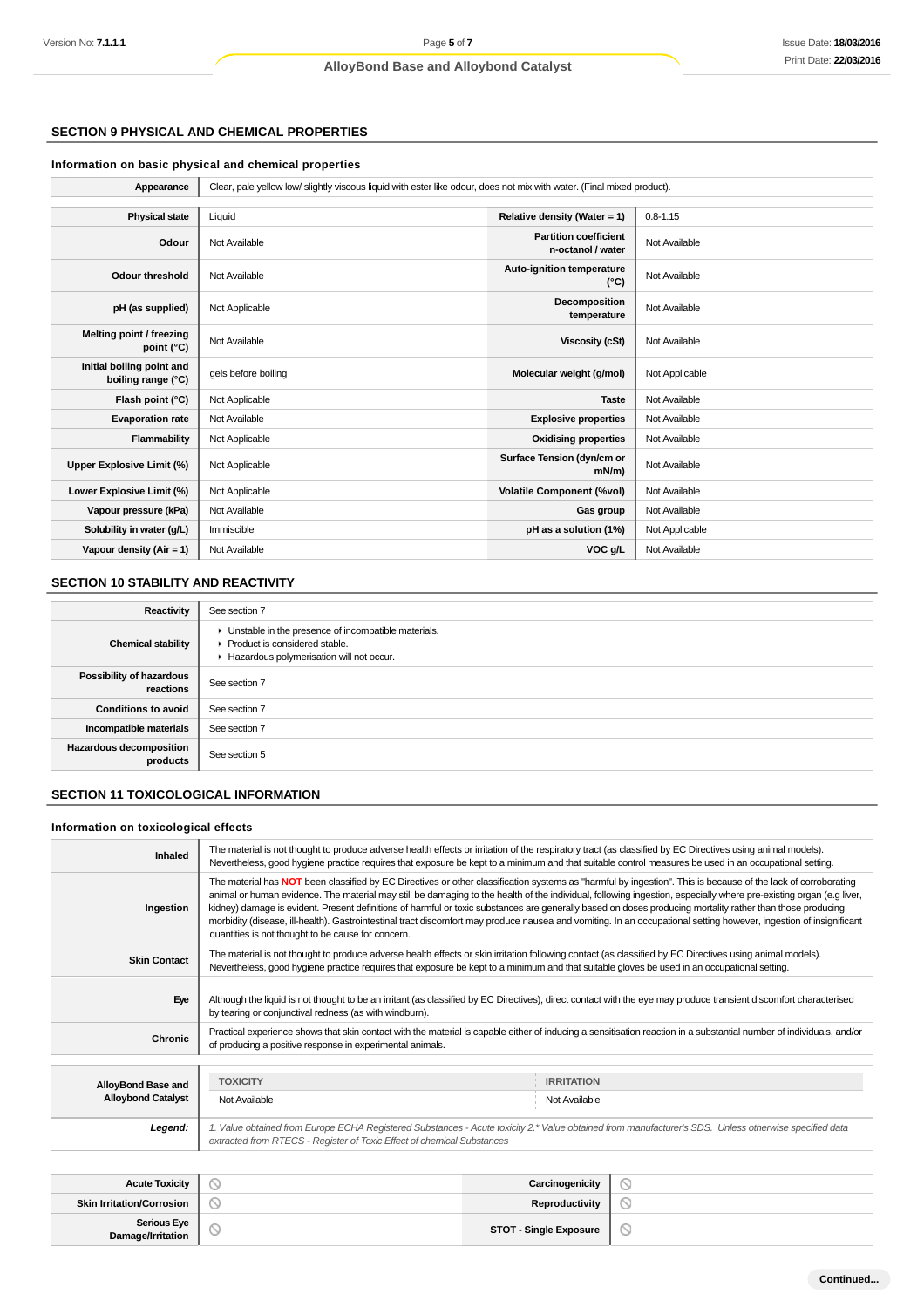### **SECTION 9 PHYSICAL AND CHEMICAL PROPERTIES**

### **Information on basic physical and chemical properties**

| Appearance                                      | Clear, pale yellow low/slightly viscous liquid with ester like odour, does not mix with water. (Final mixed product). |                                                   |                |
|-------------------------------------------------|-----------------------------------------------------------------------------------------------------------------------|---------------------------------------------------|----------------|
|                                                 |                                                                                                                       |                                                   |                |
| <b>Physical state</b>                           | Liquid                                                                                                                | Relative density (Water = 1)                      | $0.8 - 1.15$   |
| Odour                                           | Not Available                                                                                                         | <b>Partition coefficient</b><br>n-octanol / water | Not Available  |
| <b>Odour threshold</b>                          | Not Available                                                                                                         | Auto-ignition temperature<br>$(^{\circ}C)$        | Not Available  |
| pH (as supplied)                                | Not Applicable                                                                                                        | Decomposition<br>temperature                      | Not Available  |
| Melting point / freezing<br>point (°C)          | Not Available                                                                                                         | <b>Viscosity (cSt)</b>                            | Not Available  |
| Initial boiling point and<br>boiling range (°C) | gels before boiling                                                                                                   | Molecular weight (g/mol)                          | Not Applicable |
| Flash point (°C)                                | Not Applicable                                                                                                        | <b>Taste</b>                                      | Not Available  |
| <b>Evaporation rate</b>                         | Not Available                                                                                                         | <b>Explosive properties</b>                       | Not Available  |
| Flammability                                    | Not Applicable                                                                                                        | <b>Oxidising properties</b>                       | Not Available  |
| Upper Explosive Limit (%)                       | Not Applicable                                                                                                        | Surface Tension (dyn/cm or<br>$mN/m$ )            | Not Available  |
| Lower Explosive Limit (%)                       | Not Applicable                                                                                                        | <b>Volatile Component (%vol)</b>                  | Not Available  |
| Vapour pressure (kPa)                           | Not Available                                                                                                         | Gas group                                         | Not Available  |
| Solubility in water (g/L)                       | Immiscible                                                                                                            | pH as a solution (1%)                             | Not Applicable |
| Vapour density (Air = $1$ )                     | Not Available                                                                                                         | VOC g/L                                           | Not Available  |

### **SECTION 10 STABILITY AND REACTIVITY**

| Reactivity                                 | See section 7                                                                                                                        |
|--------------------------------------------|--------------------------------------------------------------------------------------------------------------------------------------|
| <b>Chemical stability</b>                  | • Unstable in the presence of incompatible materials.<br>▶ Product is considered stable.<br>Hazardous polymerisation will not occur. |
| Possibility of hazardous<br>reactions      | See section 7                                                                                                                        |
| <b>Conditions to avoid</b>                 | See section 7                                                                                                                        |
| Incompatible materials                     | See section 7                                                                                                                        |
| <b>Hazardous decomposition</b><br>products | See section 5                                                                                                                        |

### **SECTION 11 TOXICOLOGICAL INFORMATION**

#### **Information on toxicological effects**

| Inhaled                                         | The material is not thought to produce adverse health effects or irritation of the respiratory tract (as classified by EC Directives using animal models).<br>Nevertheless, good hygiene practice requires that exposure be kept to a minimum and that suitable control measures be used in an occupational setting.                                                                                                                                                                                                                                                                                                                                                                                                          |                                                                                                                                                                   |  |
|-------------------------------------------------|-------------------------------------------------------------------------------------------------------------------------------------------------------------------------------------------------------------------------------------------------------------------------------------------------------------------------------------------------------------------------------------------------------------------------------------------------------------------------------------------------------------------------------------------------------------------------------------------------------------------------------------------------------------------------------------------------------------------------------|-------------------------------------------------------------------------------------------------------------------------------------------------------------------|--|
| Ingestion                                       | The material has NOT been classified by EC Directives or other classification systems as "harmful by ingestion". This is because of the lack of corroborating<br>animal or human evidence. The material may still be damaging to the health of the individual, following ingestion, especially where pre-existing organ (e.g liver,<br>kidney) damage is evident. Present definitions of harmful or toxic substances are generally based on doses producing mortality rather than those producing<br>morbidity (disease, ill-health). Gastrointestinal tract discomfort may produce nausea and vomiting. In an occupational setting however, ingestion of insignificant<br>quantities is not thought to be cause for concern. |                                                                                                                                                                   |  |
| <b>Skin Contact</b>                             | The material is not thought to produce adverse health effects or skin irritation following contact (as classified by EC Directives using animal models).<br>Nevertheless, good hygiene practice requires that exposure be kept to a minimum and that suitable gloves be used in an occupational setting.                                                                                                                                                                                                                                                                                                                                                                                                                      |                                                                                                                                                                   |  |
| Eye                                             | by tearing or conjunctival redness (as with windburn).                                                                                                                                                                                                                                                                                                                                                                                                                                                                                                                                                                                                                                                                        | Although the liquid is not thought to be an irritant (as classified by EC Directives), direct contact with the eye may produce transient discomfort characterised |  |
| Chronic                                         | Practical experience shows that skin contact with the material is capable either of inducing a sensitisation reaction in a substantial number of individuals, and/or<br>of producing a positive response in experimental animals.                                                                                                                                                                                                                                                                                                                                                                                                                                                                                             |                                                                                                                                                                   |  |
|                                                 |                                                                                                                                                                                                                                                                                                                                                                                                                                                                                                                                                                                                                                                                                                                               |                                                                                                                                                                   |  |
| AlloyBond Base and<br><b>Alloybond Catalyst</b> | <b>TOXICITY</b><br>Not Available                                                                                                                                                                                                                                                                                                                                                                                                                                                                                                                                                                                                                                                                                              | <b>IRRITATION</b><br>Not Available                                                                                                                                |  |
|                                                 |                                                                                                                                                                                                                                                                                                                                                                                                                                                                                                                                                                                                                                                                                                                               |                                                                                                                                                                   |  |
| Legend:                                         | 1. Value obtained from Europe ECHA Registered Substances - Acute toxicity 2.* Value obtained from manufacturer's SDS. Unless otherwise specified data<br>extracted from RTECS - Register of Toxic Effect of chemical Substances                                                                                                                                                                                                                                                                                                                                                                                                                                                                                               |                                                                                                                                                                   |  |
|                                                 |                                                                                                                                                                                                                                                                                                                                                                                                                                                                                                                                                                                                                                                                                                                               |                                                                                                                                                                   |  |

| <b>Acute Toxicity</b>                   | سه                        | Carcinogenicity               |   |
|-----------------------------------------|---------------------------|-------------------------------|---|
| <b>Skin Irritation/Corrosion</b>        | ∽                         | Reproductivity                |   |
| <b>Serious Eye</b><br>Damage/Irritation | $\widetilde{\phantom{a}}$ | <b>STOT - Single Exposure</b> | ◡ |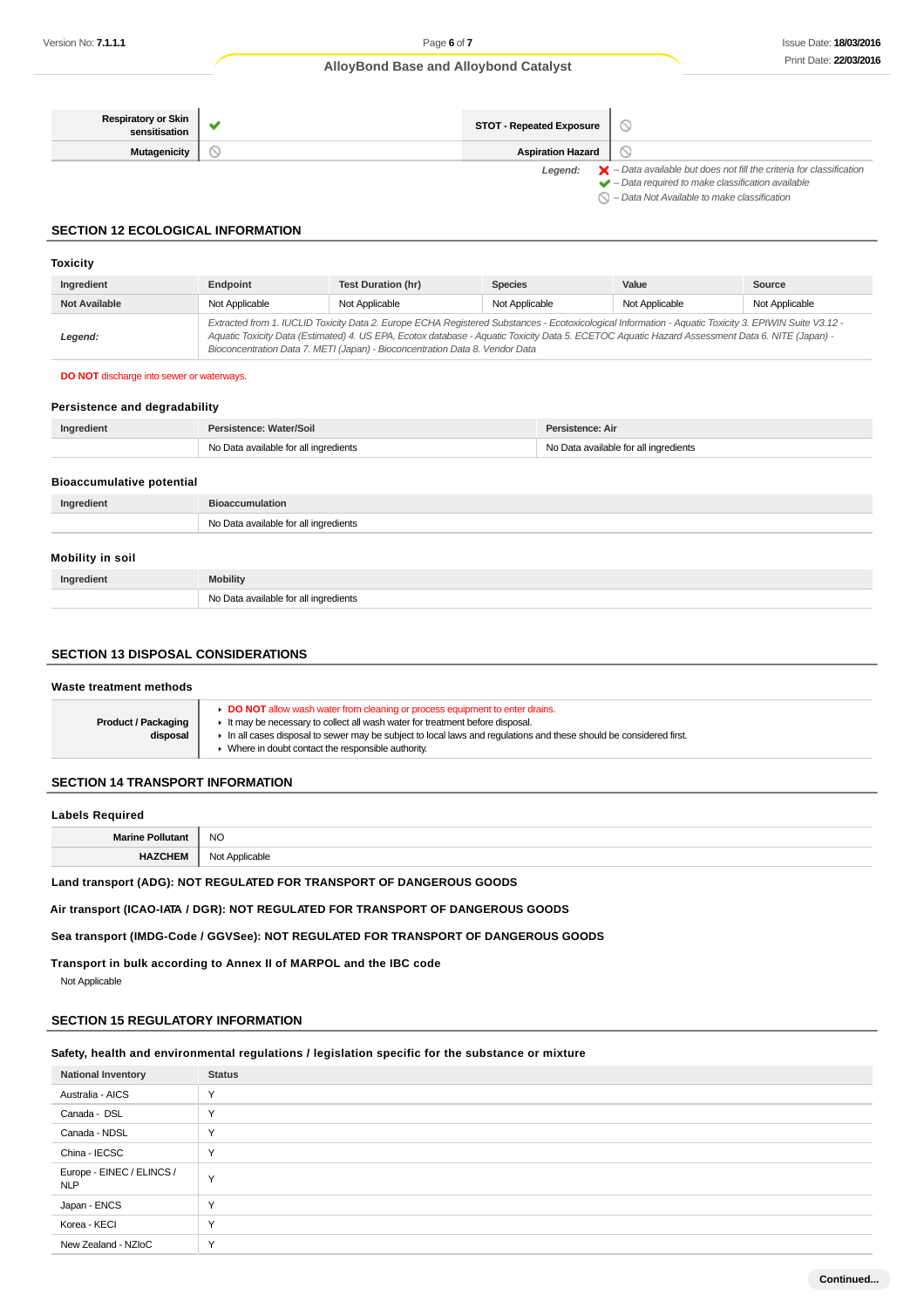| $\blacktriangleright$ - Data available but does not fill the criteria for classification<br>$\blacktriangleright$ - Data required to make classification available<br>$\bigcirc$ - Data Not Available to make classification |
|------------------------------------------------------------------------------------------------------------------------------------------------------------------------------------------------------------------------------|
|                                                                                                                                                                                                                              |

### **SECTION 12 ECOLOGICAL INFORMATION**

#### **Toxicity**

| Ingredient           | Endpoint       | Test Duration (hr)                                                                                                                                                                                                                                                                                                                                                                       | <b>Species</b> | Value          | Source         |
|----------------------|----------------|------------------------------------------------------------------------------------------------------------------------------------------------------------------------------------------------------------------------------------------------------------------------------------------------------------------------------------------------------------------------------------------|----------------|----------------|----------------|
| <b>Not Available</b> | Not Applicable | Not Applicable                                                                                                                                                                                                                                                                                                                                                                           | Not Applicable | Not Applicable | Not Applicable |
| Legend:              |                | Extracted from 1. IUCLID Toxicity Data 2. Europe ECHA Registered Substances - Ecotoxicological Information - Aquatic Toxicity 3. EPIWIN Suite V3.12 -<br>Aquatic Toxicity Data (Estimated) 4. US EPA, Ecotox database - Aquatic Toxicity Data 5. ECETOC Aquatic Hazard Assessment Data 6. NITE (Japan) -<br>Bioconcentration Data 7. METI (Japan) - Bioconcentration Data 8. Vendor Data |                |                |                |

#### **DO NOT** discharge into sewer or waterways.

### **Persistence and degradability**

| Ingredient | Persistence: Water/Soil               | Persistence: Air                      |
|------------|---------------------------------------|---------------------------------------|
|            | No Data available for all ingredients | No Data available for all ingredients |

#### **Bioaccumulative potential**

| Ingredient              | <b>Bioaccumulation</b>                |
|-------------------------|---------------------------------------|
|                         | No Data available for all ingredients |
| <b>Mobility in soil</b> |                                       |

| Ingredient | <b>Mobility</b>                                                                           |
|------------|-------------------------------------------------------------------------------------------|
|            | a available for all ingredients<br><b>N<sub>IO</sub></b><br>.<br>$\overline{\phantom{0}}$ |

### **SECTION 13 DISPOSAL CONSIDERATIONS**

| Waste treatment methods                |                                                                                                                                                                                                                                                                                                                                                        |
|----------------------------------------|--------------------------------------------------------------------------------------------------------------------------------------------------------------------------------------------------------------------------------------------------------------------------------------------------------------------------------------------------------|
| <b>Product / Packaging</b><br>disposal | DO NOT allow wash water from cleaning or process equipment to enter drains.<br>It may be necessary to collect all wash water for treatment before disposal.<br>In all cases disposal to sewer may be subject to local laws and regulations and these should be considered first.<br>$\triangleright$ Where in doubt contact the responsible authority. |

### **SECTION 14 TRANSPORT INFORMATION**

#### **Labels Required**

| м. | <b>NC</b> |
|----|-----------|
|    | __        |
|    |           |

**Land transport (ADG): NOT REGULATED FOR TRANSPORT OF DANGEROUS GOODS**

**Air transport (ICAO-IATA / DGR): NOT REGULATED FOR TRANSPORT OF DANGEROUS GOODS**

**Sea transport (IMDG-Code / GGVSee): NOT REGULATED FOR TRANSPORT OF DANGEROUS GOODS**

**Transport in bulk according to Annex II of MARPOL and the IBC code** Not Applicable

#### **SECTION 15 REGULATORY INFORMATION**

#### **Safety, health and environmental regulations / legislation specific for the substance or mixture**

| <b>National Inventory</b>               | <b>Status</b> |
|-----------------------------------------|---------------|
| Australia - AICS                        | ٧             |
| Canada - DSL                            | $\checkmark$  |
| Canada - NDSL                           | N             |
| China - IECSC                           | Y             |
| Europe - EINEC / ELINCS /<br><b>NLP</b> | Y             |
| Japan - ENCS                            | Υ             |
| Korea - KECI                            | Υ             |
| New Zealand - NZIoC                     | Υ             |